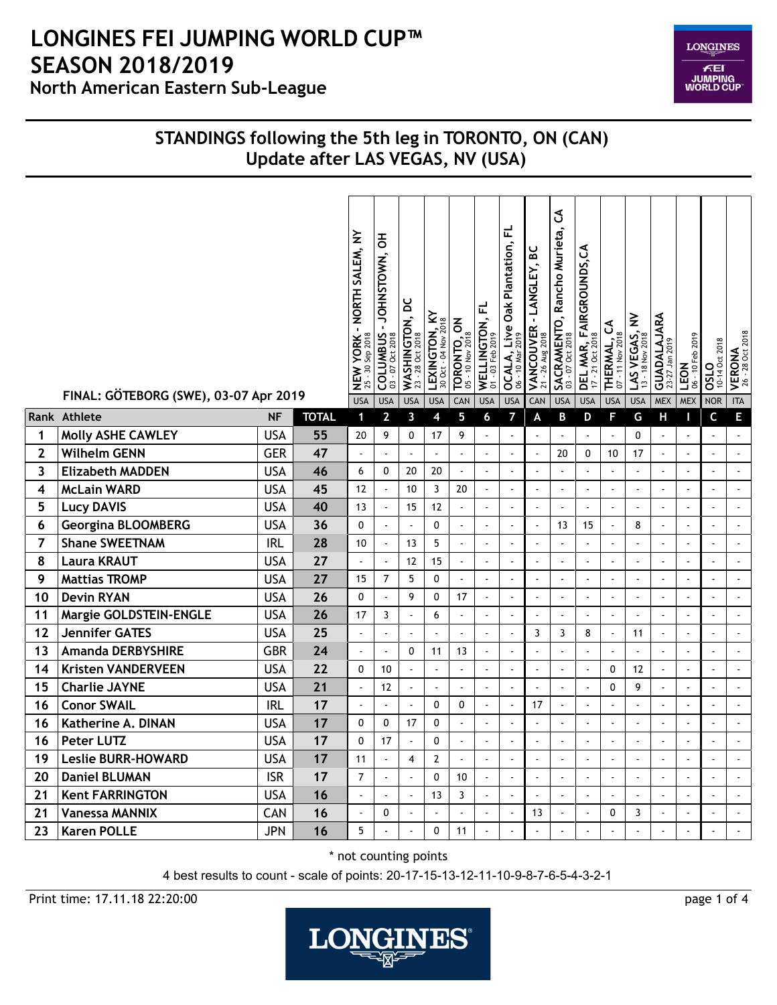**LONGINES** FEI<br>JUMPING<br>WORLD CUP

### **STANDINGS following the 5th leg in TORONTO, ON (CAN) Update after LAS VEGAS, NV (USA)**

|                | FINAL: GÖTEBORG (SWE), 03-07 Apr 2019 |            |              | NEW YORK - NORTH SALEM, NY<br>25 - 30 Sep 2018<br><b>USA</b> | 공<br>-JOHNSTOWN,<br>COLUMBUS<br><b>USA</b> | WASHINGTON, DC<br>23 - 28 Oct 2018<br><b>USA</b> | $\approx$<br>LEXINGTON, K<br><b>USA</b> | <b>TORONTO, ON</b><br>05 - 10 Nov 2018<br>CAN | WELLINGTON, FL<br>01 - 03 Feb 2019<br><b>USA</b> | 군<br><b>OCALA, Live Oak Plantation,</b><br>$-10$ Mar<br>8<br><b>USA</b> | VANCOUVER - LANGLEY, BC<br>21 - 26 Aug 2018<br>CAN | $\mathfrak{S}$<br>SACRAMENTO, Rancho Murieta,<br>03 - 07 Oct 2018<br><b>USA</b> | <b>DEL MAR, FAIRGROUNDS,CA</b><br>17 - 21 Oct 2018<br><b>USA</b> | THERMAL, CA<br><b>USA</b> | LAS VEGAS, NV<br>13 - 18 Nov 2018<br><b>USA</b> | GUADALAJARA<br>23-27 Jan 2019<br><b>MEX</b> | 06 - 10 Feb 2019<br>LEON<br><b>MEX</b> | <b>OSLO</b><br>10-14 Oct 2018<br><b>NOR</b> | <b>VERONA</b><br>26 - 28 Oct 2018<br><b>ITA</b> |
|----------------|---------------------------------------|------------|--------------|--------------------------------------------------------------|--------------------------------------------|--------------------------------------------------|-----------------------------------------|-----------------------------------------------|--------------------------------------------------|-------------------------------------------------------------------------|----------------------------------------------------|---------------------------------------------------------------------------------|------------------------------------------------------------------|---------------------------|-------------------------------------------------|---------------------------------------------|----------------------------------------|---------------------------------------------|-------------------------------------------------|
|                | Rank Athlete                          | <b>NF</b>  | <b>TOTAL</b> | $\mathbf 1$                                                  | $\overline{2}$                             | $\mathbf{3}$                                     | 4                                       | 5                                             | 6                                                | 7                                                                       | A                                                  | B                                                                               | D                                                                | F                         | G                                               | Н                                           | п                                      | C                                           | E                                               |
| 1              | <b>Molly ASHE CAWLEY</b>              | USA        | 55           | 20                                                           | 9                                          | 0                                                | 17                                      | 9                                             | $\ddot{\phantom{a}}$                             | ä,                                                                      | $\Box$                                             | $\overline{\phantom{a}}$                                                        | $\Box$                                                           | $\overline{\phantom{a}}$  | $\mathbf{0}$                                    | $\overline{\phantom{a}}$                    | $\overline{\phantom{a}}$               | $\sim$                                      | $\hat{\mathbf{r}}$                              |
| $\mathbf{2}$   | <b>Wilhelm GENN</b>                   | <b>GER</b> | 47           | $\overline{\phantom{a}}$                                     | ä,                                         | ÷,                                               | $\overline{\phantom{a}}$                | $\blacksquare$                                | $\tilde{\phantom{a}}$                            | $\overline{\phantom{a}}$                                                | $\blacksquare$                                     | 20                                                                              | 0                                                                | 10                        | 17                                              | $\sim$                                      | $\hat{\mathbf{z}}$                     | $\sim$                                      | $\sim$                                          |
| 3              | <b>Elizabeth MADDEN</b>               | <b>USA</b> | 46           | 6                                                            | $\mathbf{0}$                               | 20                                               | 20                                      | $\tilde{\phantom{a}}$                         | $\sim$                                           | $\omega$                                                                | $\overline{\phantom{a}}$                           | $\blacksquare$                                                                  | $\sim$                                                           | $\blacksquare$            | $\sim$                                          | $\sim$                                      | $\Box$                                 |                                             | $\mathbb{Z}^2$                                  |
| 4              | <b>McLain WARD</b>                    | <b>USA</b> | 45           | 12                                                           | $\hat{\mathbf{z}}$                         | 10                                               | 3                                       | 20                                            | $\tilde{\phantom{a}}$                            | $\omega$                                                                | $\sim$                                             | ä,                                                                              | $\sim$                                                           | $\overline{\phantom{a}}$  | $\blacksquare$                                  | $\sim$                                      | $\Box$                                 | $\sim$                                      | $\sim$                                          |
| 5              | <b>Lucy DAVIS</b>                     | <b>USA</b> | 40           | 13                                                           | $\blacksquare$                             | 15                                               | 12                                      | $\overline{a}$                                | $\ddot{\phantom{a}}$                             | $\omega$                                                                | $\overline{a}$                                     | $\overline{a}$                                                                  | $\overline{a}$                                                   | ÷.                        | $\mathbf{r}$                                    | $\overline{\phantom{a}}$                    | $\mathbb{Z}^2$                         |                                             | $\sim$                                          |
| 6              | <b>Georgina BLOOMBERG</b>             | <b>USA</b> | 36           | $\mathbf{0}$                                                 | $\blacksquare$                             | $\ddot{\phantom{a}}$                             | 0                                       | $\blacksquare$                                | $\mathbf{r}$                                     | $\blacksquare$                                                          | $\sim$                                             | 13                                                                              | 15                                                               | $\blacksquare$            | 8                                               | $\blacksquare$                              | $\overline{\phantom{a}}$               | $\overline{a}$                              | $\sim$                                          |
| $\overline{7}$ | <b>Shane SWEETNAM</b>                 | <b>IRL</b> | 28           | 10                                                           | $\blacksquare$                             | 13                                               | 5                                       | $\ddot{\phantom{a}}$                          | ÷,                                               | $\blacksquare$                                                          | $\overline{a}$                                     | $\overline{a}$                                                                  | ÷,                                                               | $\ddot{\phantom{a}}$      | $\mathbf{r}$                                    |                                             | $\blacksquare$                         | $\sim$                                      | $\sim$                                          |
| 8              | <b>Laura KRAUT</b>                    | <b>USA</b> | 27           |                                                              | ä,                                         | 12                                               | 15                                      | $\bar{\phantom{a}}$                           | Ĭ.                                               | ä,                                                                      | l,                                                 | $\overline{a}$                                                                  | $\overline{\phantom{a}}$                                         | $\overline{a}$            |                                                 |                                             | $\blacksquare$                         |                                             | $\sim$                                          |
| 9              | <b>Mattias TROMP</b>                  | <b>USA</b> | 27           | 15                                                           | $\overline{7}$                             | 5                                                | 0                                       | $\Box$                                        | $\overline{\phantom{a}}$                         | ä,                                                                      | $\ddot{\phantom{a}}$                               | $\overline{\phantom{a}}$                                                        | $\blacksquare$                                                   | ÷,                        | $\overline{\phantom{a}}$                        | ÷,                                          | $\blacksquare$                         | $\tilde{\phantom{a}}$                       | $\overline{\phantom{a}}$                        |
| 10             | <b>Devin RYAN</b>                     | <b>USA</b> | 26           | $\mathbf{0}$                                                 | ä,                                         | 9                                                | 0                                       | 17                                            | $\Box$                                           | ÷.                                                                      | ÷,                                                 | $\overline{\phantom{a}}$                                                        | $\overline{\phantom{a}}$                                         | ÷,                        | ä,                                              | $\overline{a}$                              | $\overline{\phantom{a}}$               |                                             | $\overline{\phantom{a}}$                        |
| 11             | Margie GOLDSTEIN-ENGLE                | <b>USA</b> | 26           | 17                                                           | 3                                          | ÷,                                               | 6                                       | $\blacksquare$                                | $\tilde{\phantom{a}}$                            | $\Box$                                                                  | $\blacksquare$                                     | $\blacksquare$                                                                  | $\tilde{\phantom{a}}$                                            | $\blacksquare$            | $\blacksquare$                                  | $\tilde{\phantom{a}}$                       | $\blacksquare$                         | $\sim$                                      | $\sim$                                          |
| 12             | <b>Jennifer GATES</b>                 | <b>USA</b> | 25           |                                                              | $\sim$                                     | ÷,                                               | $\sim$                                  | $\overline{\phantom{a}}$                      | $\tilde{\phantom{a}}$                            | $\blacksquare$                                                          | 3                                                  | 3                                                                               | 8                                                                | $\tilde{\phantom{a}}$     | 11                                              | $\tilde{\phantom{a}}$                       | $\blacksquare$                         |                                             | $\blacksquare$                                  |
| 13             | <b>Amanda DERBYSHIRE</b>              | <b>GBR</b> | 24           | L.                                                           | $\blacksquare$                             | 0                                                | 11                                      | 13                                            | $\overline{\phantom{a}}$                         | $\blacksquare$                                                          | $\mathbf{r}$                                       | ä,                                                                              | $\mathbf{r}$                                                     | $\sim$                    | $\mathbf{r}$                                    | $\mathbf{r}$                                | $\blacksquare$                         | $\sim$                                      | $\sim$                                          |
| 14             | <b>Kristen VANDERVEEN</b>             | <b>USA</b> | 22           | 0                                                            | 10                                         | ÷,                                               | $\ddot{\phantom{a}}$                    | ä,                                            | $\sim$                                           | $\blacksquare$                                                          | $\overline{a}$                                     | ÷.                                                                              | $\overline{a}$                                                   | 0                         | 12                                              | ÷,                                          | $\blacksquare$                         | ÷.                                          | $\overline{\phantom{a}}$                        |
| 15             | <b>Charlie JAYNE</b>                  | <b>USA</b> | 21           | $\overline{\phantom{a}}$                                     | 12                                         | ÷,                                               | $\mathbf{r}$                            | $\mathbf{r}$                                  | ÷,                                               | $\mathbf{r}$                                                            | ÷,                                                 | ä,                                                                              | $\sim$                                                           | 0                         | 9                                               | ÷,                                          | $\Box$                                 | $\sim$                                      | $\sim$                                          |
| 16             | <b>Conor SWAIL</b>                    | <b>IRL</b> | 17           | ä,                                                           | $\blacksquare$                             | ÷,                                               | $\Omega$                                | $\Omega$                                      | $\tilde{\phantom{a}}$                            | $\omega$                                                                | 17                                                 | ä,                                                                              | $\sim$                                                           | $\overline{\phantom{a}}$  | $\sim$                                          | ä,                                          | $\Box$                                 | $\sim$                                      | $\mathbb{Z}^2$                                  |
| 16             | Katherine A. DINAN                    | <b>USA</b> | 17           | $\mathbf{0}$                                                 | $\mathbf{0}$                               | 17                                               | $\mathbf{0}$                            | $\overline{\phantom{a}}$                      | ÷,                                               | $\blacksquare$                                                          | $\ddot{\phantom{a}}$                               |                                                                                 | $\ddot{\phantom{a}}$                                             | $\overline{\phantom{a}}$  | $\sim$                                          |                                             | $\blacksquare$                         | $\sim$                                      | $\sim$                                          |
| 16             | Peter LUTZ                            | <b>USA</b> | 17           | $\mathbf{0}$                                                 | 17                                         | $\ddot{\phantom{a}}$                             | 0                                       | $\mathbb{Z}^2$                                | $\overline{\phantom{a}}$                         | ÷.                                                                      | t,                                                 | $\overline{a}$                                                                  | $\tilde{\phantom{a}}$                                            | $\mathcal{L}$             | $\blacksquare$                                  | $\overline{a}$                              | $\overline{\phantom{a}}$               | $\ddot{\phantom{a}}$                        | $\mathcal{L}$                                   |
| 19             | <b>Leslie BURR-HOWARD</b>             | <b>USA</b> | 17           | 11                                                           | $\Box$                                     | $\overline{4}$                                   | $\overline{2}$                          | $\overline{\phantom{a}}$                      | $\overline{\phantom{a}}$                         | ä,                                                                      | $\ddot{\phantom{a}}$                               | $\overline{a}$                                                                  | $\overline{\phantom{a}}$                                         | ÷,                        | $\overline{\phantom{a}}$                        | $\blacksquare$                              | $\overline{\phantom{a}}$               |                                             | $\overline{\phantom{a}}$                        |
| 20             | <b>Daniel BLUMAN</b>                  | <b>ISR</b> | 17           | $\overline{7}$                                               | $\blacksquare$                             | $\overline{\phantom{a}}$                         | $\Omega$                                | 10                                            | $\blacksquare$                                   | $\omega$                                                                | $\ddot{\phantom{a}}$                               | $\blacksquare$                                                                  | $\sim$                                                           | $\blacksquare$            | $\blacksquare$                                  | $\blacksquare$                              | $\Box$                                 |                                             | $\Box$                                          |
| 21             | <b>Kent FARRINGTON</b>                | <b>USA</b> | 16           | ÷,                                                           | $\sim$                                     | $\tilde{\phantom{a}}$                            | 13                                      | 3                                             | $\tilde{\phantom{a}}$                            | $\blacksquare$                                                          | $\sim$                                             | ä,                                                                              | $\tilde{\phantom{a}}$                                            | $\blacksquare$            | $\blacksquare$                                  | $\tilde{\phantom{a}}$                       | $\blacksquare$                         |                                             | $\mathcal{L}_{\mathcal{A}}$                     |
| 21             | <b>Vanessa MANNIX</b>                 | CAN        | 16           | $\ddot{\phantom{a}}$                                         | 0                                          | $\overline{a}$                                   | $\mathbf{r}$                            | $\ddot{\phantom{a}}$                          | $\overline{\phantom{a}}$                         | $\omega$                                                                | 13                                                 | $\blacksquare$                                                                  | $\overline{\phantom{a}}$                                         | $\mathbf{0}$              | 3                                               | $\mathbf{r}$                                | $\Box$                                 |                                             | $\sim$                                          |
| 23             | <b>Karen POLLE</b>                    | JPN        | 16           | 5                                                            |                                            |                                                  | $\Omega$                                | 11                                            | $\overline{a}$                                   |                                                                         |                                                    | ÷.                                                                              |                                                                  |                           |                                                 |                                             | $\blacksquare$                         |                                             | $\bar{\phantom{a}}$                             |

\* not counting points

4 best results to count - scale of points: 20-17-15-13-12-11-10-9-8-7-6-5-4-3-2-1

Print time: 17.11.18 22:20:00 page 1 of 4

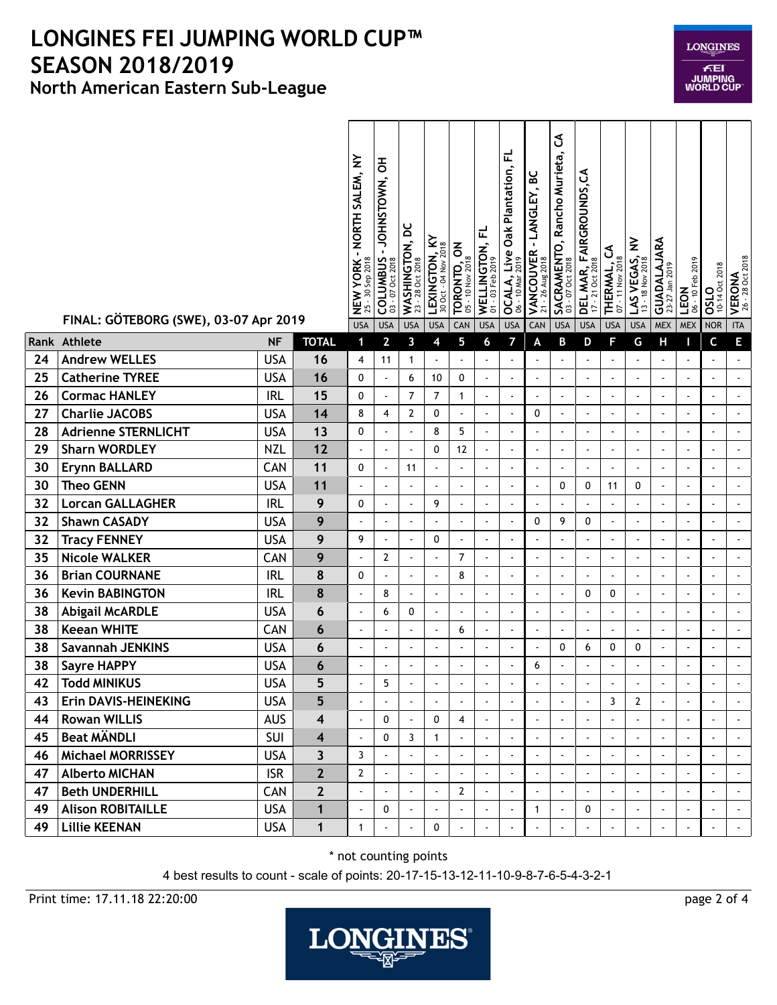|    | FINAL: GÖTEBORG (SWE), 03-07 Apr 2019 |            |                         | NEW YORK - NORTH SALEM, NY<br>25 - 30 Sep 2018<br><b>USA</b> | 공<br>JOHNSTOWN,<br><b>COLUMBUS</b><br>Oct 2018<br>$-0$<br>S<br><b>USA</b> | WASHINGTON, DC<br>23 - 28 Oct 2018<br><b>USA</b> | LEXINGTON, KY<br>30 Oct - 04 Nov 2018<br><b>USA</b> | <b>TORONTO, ON</b><br>05 - 10 Nov 2018<br>CAN | WELLINGTON, FL<br>01 - 03 Feb 2019<br><b>USA</b> | ᇆ<br>Oak Plantation,<br>OCALA, Live<br>$-10$ Mar<br><b>USA</b> | မိ<br>- LANGLEY,<br>VANCOUVER<br>$-26$ Aug $2018$<br>21<br>CAN | J<br>SACRAMENTO, Rancho Murieta,<br>03 - 07 Oct 2018<br><b>USA</b> | <b>DEL MAR, FAIRGROUNDS,CA</b><br>17 - 21 Oct 2018<br><b>USA</b> | ვ<br>$-11$ Nov 2018<br>THERMAL,<br><b>S</b><br><b>USA</b> | $\geq$<br>LAS VEGAS,<br>$-18$ Nov 2018<br>$\tilde{1}$<br><b>USA</b> | GUADALAJARA<br><b>MEX</b> | 06 - 10 Feb 2019<br>LEON<br><b>MEX</b> | 10-14 Oct 2018<br>OSLO<br>NOR | VERONA<br>26 - 28 Oct 2018<br><b>ITA</b> |
|----|---------------------------------------|------------|-------------------------|--------------------------------------------------------------|---------------------------------------------------------------------------|--------------------------------------------------|-----------------------------------------------------|-----------------------------------------------|--------------------------------------------------|----------------------------------------------------------------|----------------------------------------------------------------|--------------------------------------------------------------------|------------------------------------------------------------------|-----------------------------------------------------------|---------------------------------------------------------------------|---------------------------|----------------------------------------|-------------------------------|------------------------------------------|
|    | Rank Athlete                          | <b>NF</b>  | <b>TOTAL</b>            | 1                                                            | $\overline{2}$                                                            | 3                                                | 4                                                   | 5                                             | 6                                                | 7                                                              | A                                                              | B                                                                  | D                                                                | F                                                         | G                                                                   | Н                         |                                        | C                             | E                                        |
| 24 | <b>Andrew WELLES</b>                  | <b>USA</b> | 16                      | 4                                                            | 11                                                                        | 1                                                | $\Box$                                              | $\sim$                                        | $\overline{a}$                                   | ä,                                                             | $\blacksquare$                                                 | ä,                                                                 | $\blacksquare$                                                   | ÷,                                                        | $\blacksquare$                                                      | $\overline{a}$            | $\blacksquare$                         | $\sim$                        | $\hat{\phantom{a}}$                      |
| 25 | <b>Catherine TYREE</b>                | <b>USA</b> | 16                      | 0                                                            | $\blacksquare$                                                            | 6                                                | 10                                                  | 0                                             | ÷,                                               | ä,                                                             | $\ddot{\phantom{a}}$                                           | $\tilde{\phantom{a}}$                                              | $\sim$                                                           | ÷,                                                        | $\blacksquare$                                                      | ä,                        | $\blacksquare$                         |                               | $\mathbf{r}$                             |
| 26 | <b>Cormac HANLEY</b>                  | <b>IRL</b> | 15                      | 0                                                            | $\blacksquare$                                                            | $\overline{7}$                                   | $\overline{7}$                                      | 1                                             | ÷,                                               | $\overline{\phantom{a}}$                                       | $\overline{\phantom{a}}$                                       | $\sim$                                                             | $\overline{a}$                                                   | ÷,                                                        | $\mathbf{r}$                                                        | $\blacksquare$            | $\blacksquare$                         |                               | $\mathbf{r}$                             |
| 27 | <b>Charlie JACOBS</b>                 | <b>USA</b> | 14                      | 8                                                            | 4                                                                         | 2                                                | 0                                                   | $\sim$                                        | ÷,                                               | $\blacksquare$                                                 | $\mathbf 0$                                                    | $\blacksquare$                                                     | ÷,                                                               | $\ddot{\phantom{0}}$                                      | $\blacksquare$                                                      | $\blacksquare$            | $\blacksquare$                         |                               | $\overline{\phantom{a}}$                 |
| 28 | <b>Adrienne STERNLICHT</b>            | <b>USA</b> | 13                      | 0                                                            | $\ddot{\phantom{a}}$                                                      |                                                  | 8                                                   | 5                                             | $\ddot{\phantom{1}}$                             | $\blacksquare$                                                 |                                                                | $\blacksquare$                                                     | $\blacksquare$                                                   | $\ddot{\phantom{a}}$                                      | $\bullet$                                                           |                           | $\blacksquare$                         |                               | $\overline{\phantom{a}}$                 |
| 29 | <b>Sharn WORDLEY</b>                  | <b>NZL</b> | 12                      | ÷,                                                           | $\ddot{\phantom{a}}$                                                      |                                                  | 0                                                   | 12                                            |                                                  | $\blacksquare$                                                 |                                                                | $\overline{a}$                                                     |                                                                  | $\ddot{\phantom{0}}$                                      |                                                                     |                           | $\blacksquare$                         |                               | ÷,                                       |
| 30 | <b>Erynn BALLARD</b>                  | CAN        | 11                      | 0                                                            | $\overline{a}$                                                            | 11                                               | ä,                                                  | $\sim$                                        | ä,                                               | ä,                                                             | $\overline{\phantom{a}}$                                       | $\mathbf{r}$                                                       | ÷,                                                               | $\overline{a}$                                            | $\blacksquare$                                                      | ä,                        | $\blacksquare$                         |                               | $\overline{\phantom{a}}$                 |
| 30 | <b>Theo GENN</b>                      | <b>USA</b> | 11                      | $\blacksquare$                                               | $\blacksquare$                                                            |                                                  | $\blacksquare$                                      |                                               | $\ddot{\phantom{0}}$                             | $\blacksquare$                                                 | $\overline{\phantom{a}}$                                       | 0                                                                  | 0                                                                | 11                                                        | 0                                                                   |                           | $\blacksquare$                         |                               | $\blacksquare$                           |
| 32 | <b>Lorcan GALLAGHER</b>               | <b>IRL</b> | 9                       | 0                                                            | $\blacksquare$                                                            |                                                  | 9                                                   |                                               | ÷,                                               | $\blacksquare$                                                 |                                                                |                                                                    |                                                                  |                                                           | $\blacksquare$                                                      |                           | ä,                                     |                               | $\overline{\phantom{a}}$                 |
| 32 | <b>Shawn CASADY</b>                   | <b>USA</b> | 9                       |                                                              | $\blacksquare$                                                            |                                                  | $\sim$                                              |                                               |                                                  | $\blacksquare$                                                 | 0                                                              | 9                                                                  | 0                                                                | ä,                                                        | $\bullet$                                                           |                           | ÷,                                     |                               |                                          |
| 32 | <b>Tracy FENNEY</b>                   | <b>USA</b> | 9                       | 9                                                            | $\overline{a}$                                                            |                                                  | 0                                                   | $\sim$                                        | $\overline{\phantom{a}}$                         | $\blacksquare$                                                 | $\blacksquare$                                                 | $\tilde{\phantom{a}}$                                              | $\overline{\phantom{a}}$                                         | ÷,                                                        | $\blacksquare$                                                      | ä,                        | $\blacksquare$                         |                               | $\tilde{\phantom{a}}$                    |
| 35 | <b>Nicole WALKER</b>                  | CAN        | 9                       | ÷,                                                           | $\overline{2}$                                                            | $\blacksquare$                                   | $\blacksquare$                                      | $\overline{7}$                                | ÷,                                               | $\blacksquare$                                                 | $\ddot{\phantom{a}}$                                           | $\tilde{\phantom{a}}$                                              | $\sim$                                                           | ÷,                                                        | $\blacksquare$                                                      |                           | $\blacksquare$                         |                               | $\overline{\phantom{a}}$                 |
| 36 | <b>Brian COURNANE</b>                 | <b>IRL</b> | 8                       | 0                                                            | $\ddot{\phantom{a}}$                                                      |                                                  | $\ddot{\phantom{a}}$                                | 8                                             | Ĭ.                                               | $\blacksquare$                                                 |                                                                | $\blacksquare$                                                     |                                                                  | $\blacksquare$                                            | $\blacksquare$                                                      |                           | $\blacksquare$                         |                               | ÷,                                       |
| 36 | <b>Kevin BABINGTON</b>                | <b>IRL</b> | 8                       | ÷,                                                           | 8                                                                         | $\overline{\phantom{a}}$                         | ä,                                                  |                                               | $\overline{a}$                                   | $\overline{\phantom{a}}$                                       | $\overline{\phantom{a}}$                                       | $\sim$                                                             | 0                                                                | 0                                                         | $\mathbf{r}$                                                        | ä,                        | $\blacksquare$                         |                               | $\mathbf{r}$                             |
| 38 | <b>Abigail McARDLE</b>                | <b>USA</b> | 6                       | ÷,                                                           | 6                                                                         | 0                                                | $\blacksquare$                                      | $\sim$                                        | ÷,                                               | $\blacksquare$                                                 | $\ddot{\phantom{a}}$                                           | $\blacksquare$                                                     | $\sim$                                                           | ÷,                                                        | $\blacksquare$                                                      | $\overline{\phantom{a}}$  | $\blacksquare$                         | $\sim$                        | $\hat{\phantom{a}}$                      |
| 38 | <b>Keean WHITE</b>                    | CAN        | 6                       | ÷,                                                           | $\blacksquare$                                                            |                                                  | ÷,                                                  | 6                                             | ÷,                                               | $\blacksquare$                                                 | $\blacksquare$                                                 | $\sim$                                                             | ÷,                                                               | ÷,                                                        | $\blacksquare$                                                      | ä,                        | $\blacksquare$                         |                               | $\overline{\phantom{a}}$                 |
| 38 | <b>Savannah JENKINS</b>               | <b>USA</b> | 6                       | ÷,                                                           | $\blacksquare$                                                            | $\ddot{\phantom{1}}$                             | $\tilde{\phantom{a}}$                               |                                               | ÷.                                               | $\overline{\phantom{a}}$                                       | $\blacksquare$                                                 | 0                                                                  | 6                                                                | 0                                                         | 0                                                                   | $\blacksquare$            | $\blacksquare$                         | ÷.                            | $\mathbf{u}$                             |
| 38 | <b>Sayre HAPPY</b>                    | <b>USA</b> | 6                       | ÷,                                                           | $\blacksquare$                                                            | $\overline{\phantom{a}}$                         | ä,                                                  | $\sim$                                        | ÷,                                               | $\overline{\phantom{a}}$                                       | 6                                                              | $\mathbf{r}$                                                       |                                                                  | $\overline{a}$                                            | $\sim$                                                              | L,                        | $\blacksquare$                         |                               | $\mathbf{r}$                             |
| 42 | <b>Todd MINIKUS</b>                   | <b>USA</b> | 5                       | $\blacksquare$                                               | 5                                                                         |                                                  | ä,                                                  |                                               |                                                  |                                                                |                                                                |                                                                    |                                                                  |                                                           |                                                                     |                           | $\overline{a}$                         |                               |                                          |
| 43 | Erin DAVIS-HEINEKING                  | <b>USA</b> | 5                       | ä,                                                           |                                                                           | $\ddot{\phantom{a}}$                             | ÷.                                                  | $\hat{\phantom{a}}$                           | $\overline{a}$                                   |                                                                | $\ddot{\phantom{a}}$                                           | $\blacksquare$                                                     |                                                                  | 3                                                         | $\mathbf{2}$                                                        | $\overline{a}$            | $\Box$                                 |                               | $\bullet$                                |
| 44 | <b>Rowan WILLIS</b>                   | <b>AUS</b> | $\overline{\mathbf{4}}$ | ÷,                                                           | 0                                                                         |                                                  | 0                                                   | $\overline{4}$                                |                                                  |                                                                |                                                                |                                                                    |                                                                  |                                                           |                                                                     |                           |                                        |                               |                                          |
| 45 | <b>Beat MÄNDLI</b>                    | <b>SUI</b> | $\overline{\mathbf{4}}$ | $\blacksquare$                                               | 0                                                                         | 3                                                | $\mathbf{1}$                                        | $\blacksquare$                                | $\overline{a}$                                   |                                                                | $\ddot{\phantom{a}}$                                           | $\blacksquare$                                                     |                                                                  | $\blacksquare$                                            | $\tilde{\phantom{a}}$                                               |                           | $\blacksquare$                         | $\tilde{\phantom{a}}$         | $\hat{\phantom{a}}$                      |
| 46 | <b>Michael MORRISSEY</b>              | <b>USA</b> | $\overline{\mathbf{3}}$ | 3                                                            |                                                                           |                                                  |                                                     |                                               |                                                  |                                                                |                                                                |                                                                    |                                                                  |                                                           |                                                                     |                           |                                        |                               | $\omega$                                 |
| 47 | <b>Alberto MICHAN</b>                 | <b>ISR</b> | $\mathbf{2}$            | 2                                                            |                                                                           |                                                  |                                                     |                                               |                                                  |                                                                |                                                                | $\overline{\phantom{a}}$                                           |                                                                  |                                                           |                                                                     |                           |                                        |                               |                                          |
| 47 | <b>Beth UNDERHILL</b>                 | CAN        | $\mathbf{2}$            | $\mathbf{r}$                                                 | $\overline{a}$                                                            | $\ddot{\phantom{a}}$                             | $\blacksquare$                                      | 2                                             | ÷,                                               | $\blacksquare$                                                 | $\overline{\phantom{a}}$                                       | $\blacksquare$                                                     |                                                                  | $\overline{\phantom{a}}$                                  | $\mathbf{r}$                                                        |                           | $\blacksquare$                         |                               | $\mathbf{u}$                             |
| 49 | <b>Alison ROBITAILLE</b>              | <b>USA</b> | $\mathbf{1}$            |                                                              | 0                                                                         |                                                  |                                                     |                                               |                                                  |                                                                | $\mathbf{1}$                                                   | $\blacksquare$                                                     | 0                                                                |                                                           |                                                                     |                           | $\blacksquare$                         |                               |                                          |
| 49 | <b>Lillie KEENAN</b>                  | <b>USA</b> | $\mathbf{1}$            | 1                                                            |                                                                           |                                                  | 0                                                   |                                               |                                                  |                                                                |                                                                |                                                                    |                                                                  |                                                           |                                                                     |                           |                                        |                               | $\bullet$                                |

#### \* not counting points

4 best results to count - scale of points: 20-17-15-13-12-11-10-9-8-7-6-5-4-3-2-1

Print time: 17.11.18 22:20:00 page 2 of 4



 $E$ El **JUMPING<br>WORLD CUP** 

**LONGINES**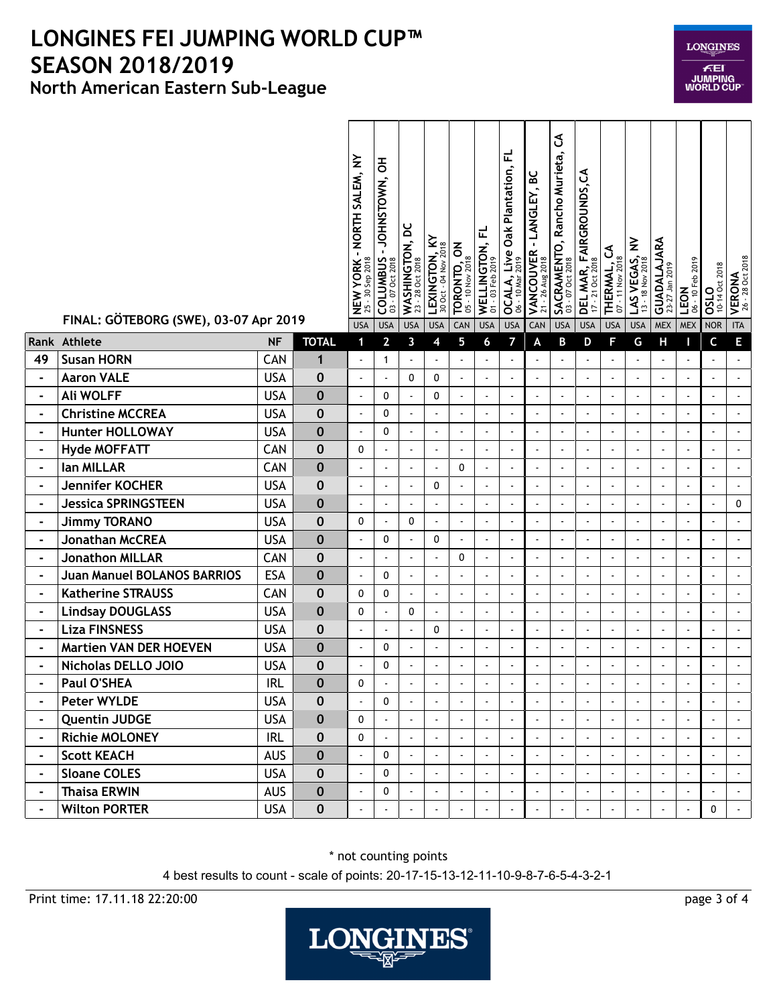|                | FINAL: GÖTEBORG (SWE), 03-07 Apr 2019 |            |              | - NORTH SALEM, NY<br><b>NEW YORK -</b><br>25 - 30 Sep 2018 | 공<br>JOHNSTOWN,<br>COLUMBUS | WASHINGTON, DC<br>$-28$ Oct 2018<br>$\overline{2}$ | LEXINGTON, KY<br>30 Oct - 04 Nov 2018 | <b>TORONTO, ON</b><br>05 - 10 Nov 2018 | ᆮ<br>WELLINGTON,<br>01 - 03 Feb 2019 | ᆮ<br>Oak Plantation,<br>OCALA, Live<br>06 - 10 Mar 2019 | <u>ട</u><br>- LANGLEY,<br><b>VANCOUVER</b><br>21 - 26 Aug 2018<br>$-26$ Aug $2018$ | Ś<br><b>SACRAMENTO, Rancho Murieta,</b><br>03 - 07 Oct 2018 | <b>DEL MAR, FAIRGROUNDS,CA</b><br>17 - 21 Oct 2018 | THERMAL, CA<br>07 - 11 Nov 2018 | LAS VEGAS, NV<br>13 - 18 Nov 2018 | GUADALAJARA     | 06 - 10 Feb 2019<br>LEON | <b>OSLO</b><br>10-14 Oct 2018 | VERONA<br>26 - 28 Oct 2018  |
|----------------|---------------------------------------|------------|--------------|------------------------------------------------------------|-----------------------------|----------------------------------------------------|---------------------------------------|----------------------------------------|--------------------------------------|---------------------------------------------------------|------------------------------------------------------------------------------------|-------------------------------------------------------------|----------------------------------------------------|---------------------------------|-----------------------------------|-----------------|--------------------------|-------------------------------|-----------------------------|
|                | Rank Athlete                          | <b>NF</b>  | <b>TOTAL</b> | <b>USA</b><br>$\mathbf 1$                                  | <b>USA</b><br>$\mathbf{2}$  | <b>USA</b><br>3                                    | <b>USA</b><br>4                       | CAN<br>5                               | <b>USA</b><br>6                      | <b>USA</b><br>7                                         | CAN<br>A                                                                           | <b>USA</b><br>B                                             | <b>USA</b><br>D                                    | <b>USA</b><br>F                 | <b>USA</b><br>G                   | <b>MEX</b><br>Н | <b>MEX</b><br>п          | <b>NOR</b><br>C               | <b>ITA</b><br>E             |
| 49             | <b>Susan HORN</b>                     | CAN        | $\mathbf{1}$ | $\blacksquare$                                             | $\mathbf{1}$                |                                                    | $\blacksquare$                        | $\blacksquare$                         |                                      | ä,                                                      |                                                                                    |                                                             |                                                    | ÷,                              | $\overline{a}$                    |                 | $\blacksquare$           |                               | $\hat{\phantom{a}}$         |
| $\frac{1}{2}$  | <b>Aaron VALE</b>                     | <b>USA</b> | $\bf{0}$     | $\blacksquare$                                             | $\blacksquare$              | 0                                                  | 0                                     | $\blacksquare$                         | $\blacksquare$                       | $\blacksquare$                                          | ÷,                                                                                 | $\overline{\phantom{a}}$                                    | $\sim$                                             | $\ddot{\phantom{a}}$            | ÷,                                | $\blacksquare$  | $\omega$                 |                               | $\hat{\phantom{a}}$         |
| $\blacksquare$ | <b>Ali WOLFF</b>                      | <b>USA</b> | $\bf{0}$     | $\blacksquare$                                             | 0                           |                                                    | 0                                     | $\blacksquare$                         | $\overline{\phantom{a}}$             | $\blacksquare$                                          |                                                                                    | $\overline{\phantom{a}}$                                    |                                                    | $\blacksquare$                  | $\blacksquare$                    |                 | ä,                       |                               | $\ddot{\phantom{a}}$        |
| $\blacksquare$ | <b>Christine MCCREA</b>               | <b>USA</b> | $\bf{0}$     | ÷,                                                         | 0                           |                                                    | ÷,                                    |                                        | ÷                                    | $\overline{a}$                                          |                                                                                    | ä,                                                          |                                                    | ÷,                              |                                   |                 | $\overline{a}$           |                               | $\overline{\phantom{a}}$    |
| $\blacksquare$ | <b>Hunter HOLLOWAY</b>                | <b>USA</b> | $\bf{0}$     | ÷,                                                         | 0                           | $\sim$                                             | $\tilde{\phantom{a}}$                 | $\blacksquare$                         | $\overline{\phantom{a}}$             | $\blacksquare$                                          |                                                                                    | $\blacksquare$                                              | $\overline{\phantom{a}}$                           | $\ddot{\phantom{a}}$            | $\ddot{\phantom{a}}$              |                 | $\overline{a}$           |                               | $\overline{\phantom{a}}$    |
| $\blacksquare$ | <b>Hyde MOFFATT</b>                   | CAN        | $\mathbf 0$  | 0                                                          | $\blacksquare$              | $\blacksquare$                                     | $\blacksquare$                        | $\ddot{\phantom{0}}$                   | $\overline{\phantom{a}}$             | $\blacksquare$                                          |                                                                                    | $\blacksquare$                                              |                                                    | $\overline{\phantom{a}}$        | $\blacksquare$                    |                 | $\blacksquare$           |                               | $\blacksquare$              |
| $\frac{1}{2}$  | lan MILLAR                            | CAN        | $\bf{0}$     | $\overline{a}$                                             |                             |                                                    | $\blacksquare$                        | 0                                      | ÷,                                   | $\ddot{\phantom{1}}$                                    |                                                                                    | ä,                                                          |                                                    | ÷,                              | $\ddot{\phantom{a}}$              |                 | ä,                       |                               | $\hat{\mathbf{z}}$          |
| -              | <b>Jennifer KOCHER</b>                | <b>USA</b> | $\bf{0}$     | $\blacksquare$                                             | ÷                           |                                                    | 0                                     | $\blacksquare$                         | ÷.                                   | ä,                                                      |                                                                                    | $\blacksquare$                                              |                                                    | $\ddot{\phantom{a}}$            | $\overline{a}$                    |                 | $\overline{a}$           |                               | ÷,                          |
| $\blacksquare$ | <b>Jessica SPRINGSTEEN</b>            | <b>USA</b> | $\bf{0}$     | $\blacksquare$                                             | $\blacksquare$              | $\sim$                                             | $\blacksquare$                        | $\blacksquare$                         | $\blacksquare$                       | ä,                                                      | $\sim$                                                                             | $\blacksquare$                                              | $\sim$                                             | ÷,                              | ÷,                                | $\sim$          | $\blacksquare$           |                               | 0                           |
| $\blacksquare$ | <b>Jimmy TORANO</b>                   | <b>USA</b> | $\bf{0}$     | 0                                                          | $\blacksquare$              | 0                                                  | $\blacksquare$                        | $\blacksquare$                         | $\blacksquare$                       | $\overline{\phantom{a}}$                                | $\blacksquare$                                                                     | $\blacksquare$                                              | $\blacksquare$                                     | ÷,                              | $\blacksquare$                    | $\blacksquare$  | ÷.                       |                               | $\blacksquare$              |
| $\blacksquare$ | <b>Jonathan McCREA</b>                | <b>USA</b> | $\bf{0}$     | ÷,                                                         | 0                           |                                                    | 0                                     |                                        | ÷,                                   | ä,                                                      |                                                                                    | $\overline{\phantom{a}}$                                    |                                                    | ÷,                              | ÷,                                |                 | ä,                       |                               | $\overline{a}$              |
| $\blacksquare$ | <b>Jonathon MILLAR</b>                | CAN        | $\bf{0}$     | $\sim$                                                     | ä,                          |                                                    | $\blacksquare$                        | 0                                      | ÷,                                   | ä,                                                      | $\overline{a}$                                                                     | $\sim$                                                      | ÷.                                                 | ÷,                              | ÷,                                |                 | $\overline{\phantom{a}}$ |                               | $\ddot{\phantom{a}}$        |
| $\blacksquare$ | <b>Juan Manuel BOLANOS BARRIOS</b>    | <b>ESA</b> | $\bf{0}$     | $\blacksquare$                                             | $\mathbf{0}$                | $\sim$                                             | $\blacksquare$                        | $\blacksquare$                         | $\tilde{\phantom{a}}$                | $\blacksquare$                                          | $\blacksquare$                                                                     | $\blacksquare$                                              | $\sim$                                             | ÷,                              | $\blacksquare$                    | $\blacksquare$  | $\blacksquare$           |                               | $\hat{\phantom{a}}$         |
| $\blacksquare$ | <b>Katherine STRAUSS</b>              | CAN        | $\bf{0}$     | 0                                                          | 0                           | $\sim$                                             | $\blacksquare$                        | $\sim$                                 | ÷,                                   | $\overline{a}$                                          |                                                                                    | $\overline{\phantom{a}}$                                    |                                                    | $\sim$                          | $\overline{\phantom{a}}$          |                 | $\blacksquare$           |                               | $\hat{\phantom{a}}$         |
| $\blacksquare$ | <b>Lindsay DOUGLASS</b>               | <b>USA</b> | $\bf{0}$     | 0                                                          | $\blacksquare$              | 0                                                  | $\blacksquare$                        | $\blacksquare$                         | ÷,                                   | $\overline{\phantom{a}}$                                |                                                                                    | ä,                                                          |                                                    | ÷,                              | $\blacksquare$                    |                 | ä,                       |                               | $\hat{\phantom{a}}$         |
| $\blacksquare$ | <b>Liza FINSNESS</b>                  | <b>USA</b> | $\mathbf 0$  | $\overline{\phantom{a}}$                                   | $\blacksquare$              | $\sim$                                             | 0                                     | $\blacksquare$                         | $\overline{\phantom{a}}$             | $\overline{\phantom{a}}$                                | $\overline{a}$                                                                     | $\sim$                                                      | $\overline{\phantom{a}}$                           | $\ddot{\phantom{a}}$            | $\sim$                            | $\sim$          | $\overline{a}$           |                               | $\overline{\phantom{a}}$    |
| $\blacksquare$ | <b>Martien VAN DER HOEVEN</b>         | <b>USA</b> | $\bf{0}$     | $\blacksquare$                                             | 0                           |                                                    | $\blacksquare$                        | $\blacksquare$                         | $\sim$                               | $\overline{\phantom{a}}$                                |                                                                                    | $\blacksquare$                                              |                                                    | $\blacksquare$                  | ÷,                                | $\sim$          | $\blacksquare$           |                               | $\blacksquare$              |
| $\blacksquare$ | Nicholas DELLO JOIO                   | <b>USA</b> | $\mathbf 0$  | $\ddot{\phantom{a}}$                                       | 0                           |                                                    | ä,                                    |                                        | ÷,                                   | $\overline{a}$                                          |                                                                                    | $\overline{\phantom{a}}$                                    |                                                    | ÷,                              | $\ddot{\phantom{a}}$              |                 | ä,                       |                               | $\Box$                      |
| ÷              | Paul O'SHEA                           | <b>IRL</b> | $\bf{0}$     | 0                                                          |                             |                                                    | ä,                                    |                                        | ÷                                    |                                                         |                                                                                    |                                                             |                                                    | ÷.                              |                                   |                 | $\overline{a}$           |                               | $\overline{\phantom{a}}$    |
| $\blacksquare$ | <b>Peter WYLDE</b>                    | <b>USA</b> | 0            | $\blacksquare$                                             | 0                           | $\blacksquare$                                     | $\blacksquare$                        | $\blacksquare$                         | $\bullet$                            | $\blacksquare$                                          | $\blacksquare$                                                                     | $\blacksquare$                                              | $\blacksquare$                                     | $\bullet$                       | $\blacksquare$                    | $\blacksquare$  | $\blacksquare$           | $\blacksquare$                | $\blacksquare$              |
| $\blacksquare$ | <b>Quentin JUDGE</b>                  | <b>USA</b> | $\mathbf 0$  | $\mathbf 0$                                                |                             |                                                    |                                       |                                        |                                      |                                                         |                                                                                    |                                                             |                                                    |                                 |                                   |                 |                          |                               |                             |
| $\blacksquare$ | <b>Richie MOLONEY</b>                 | <b>IRL</b> | $\pmb{0}$    | $\mathbf 0$                                                |                             |                                                    | $\blacksquare$                        | $\sim$                                 |                                      |                                                         |                                                                                    | $\blacksquare$                                              |                                                    |                                 | $\sim$                            |                 | $\blacksquare$           |                               |                             |
| $\blacksquare$ | <b>Scott KEACH</b>                    | <b>AUS</b> | $\bf{0}$     | $\blacksquare$                                             | 0                           |                                                    | $\blacksquare$                        | $\sim$                                 | $\sim$                               |                                                         | $\mathbf{r}$                                                                       | $\mathbf{r}$                                                |                                                    | $\overline{\phantom{a}}$        |                                   |                 |                          |                               | $\omega$                    |
| $\blacksquare$ | <b>Sloane COLES</b>                   | <b>USA</b> | $\pmb{0}$    | $\blacksquare$                                             | 0                           |                                                    |                                       |                                        | $\blacksquare$                       |                                                         |                                                                                    |                                                             |                                                    |                                 |                                   |                 | $\blacksquare$           |                               |                             |
| $\blacksquare$ | <b>Thaisa ERWIN</b>                   | <b>AUS</b> | $\pmb{0}$    | $\blacksquare$                                             | 0                           |                                                    | ä,                                    |                                        |                                      |                                                         |                                                                                    |                                                             |                                                    |                                 |                                   |                 | $\blacksquare$           |                               |                             |
| $\blacksquare$ | <b>Wilton PORTER</b>                  | <b>USA</b> | $\pmb{0}$    | ÷,                                                         |                             |                                                    | ä,                                    |                                        |                                      |                                                         |                                                                                    |                                                             |                                                    |                                 |                                   |                 | $\overline{\phantom{a}}$ | 0                             | $\mathcal{L}_{\mathcal{A}}$ |

\* not counting points

4 best results to count - scale of points: 20-17-15-13-12-11-10-9-8-7-6-5-4-3-2-1

Print time: 17.11.18 22:20:00 page 3 of 4



**LONGINES**  $\epsilon$ El **JUMPING<br>WORLD CUP**